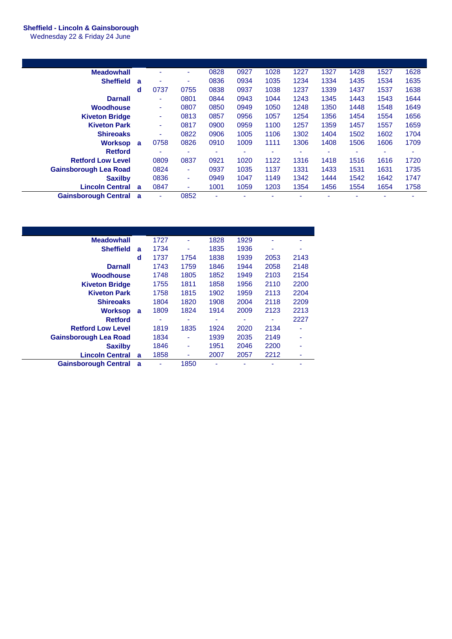## **Sheffield - Lincoln & Gainsborough**

Wednesday 22 & Friday 24 June

| <b>Meadowhall</b>             |              |                          | ۰    | 0828 | 0927 | 1028 | 1227 | 1327 | 1428 | 1527 | 1628 |
|-------------------------------|--------------|--------------------------|------|------|------|------|------|------|------|------|------|
| <b>Sheffield</b>              | $\mathbf{a}$ |                          | ٠    | 0836 | 0934 | 1035 | 1234 | 1334 | 1435 | 1534 | 1635 |
|                               | d            | 0737                     | 0755 | 0838 | 0937 | 1038 | 1237 | 1339 | 1437 | 1537 | 1638 |
| <b>Darnall</b>                |              | $\overline{\phantom{a}}$ | 0801 | 0844 | 0943 | 1044 | 1243 | 1345 | 1443 | 1543 | 1644 |
| Woodhouse                     |              | ٠                        | 0807 | 0850 | 0949 | 1050 | 1248 | 1350 | 1448 | 1548 | 1649 |
| <b>Kiveton Bridge</b>         |              | $\sim$                   | 0813 | 0857 | 0956 | 1057 | 1254 | 1356 | 1454 | 1554 | 1656 |
| <b>Kiveton Park</b>           |              | $\blacksquare$           | 0817 | 0900 | 0959 | 1100 | 1257 | 1359 | 1457 | 1557 | 1659 |
| <b>Shireoaks</b>              |              | $\blacksquare$           | 0822 | 0906 | 1005 | 1106 | 1302 | 1404 | 1502 | 1602 | 1704 |
| <b>Worksop</b>                | <b>a</b>     | 0758                     | 0826 | 0910 | 1009 | 1111 | 1306 | 1408 | 1506 | 1606 | 1709 |
| <b>Retford</b>                |              |                          |      | ۰    |      | ۰    | ۰    |      |      |      |      |
| <b>Retford Low Level</b>      |              | 0809                     | 0837 | 0921 | 1020 | 1122 | 1316 | 1418 | 1516 | 1616 | 1720 |
| <b>Gainsborough Lea Road</b>  |              | 0824                     | ٠    | 0937 | 1035 | 1137 | 1331 | 1433 | 1531 | 1631 | 1735 |
| <b>Saxilby</b>                |              | 0836                     | ٠    | 0949 | 1047 | 1149 | 1342 | 1444 | 1542 | 1642 | 1747 |
| <b>Lincoln Central</b>        | <b>a</b>     | 0847                     | ٠    | 1001 | 1059 | 1203 | 1354 | 1456 | 1554 | 1654 | 1758 |
| <b>Gainsborough Central a</b> |              |                          | 0852 | ٠    |      |      |      |      |      |      |      |

| <b>Meadowhall</b>            |   | 1727 |      | 1828 | 1929 | ۰    |      |
|------------------------------|---|------|------|------|------|------|------|
| <b>Sheffield</b>             | a | 1734 | ۰    | 1835 | 1936 | ٠    | ٠    |
|                              | d | 1737 | 1754 | 1838 | 1939 | 2053 | 2143 |
| <b>Darnall</b>               |   | 1743 | 1759 | 1846 | 1944 | 2058 | 2148 |
| <b>Woodhouse</b>             |   | 1748 | 1805 | 1852 | 1949 | 2103 | 2154 |
| <b>Kiveton Bridge</b>        |   | 1755 | 1811 | 1858 | 1956 | 2110 | 2200 |
| <b>Kiveton Park</b>          |   | 1758 | 1815 | 1902 | 1959 | 2113 | 2204 |
| <b>Shireoaks</b>             |   | 1804 | 1820 | 1908 | 2004 | 2118 | 2209 |
| <b>Worksop</b>               | a | 1809 | 1824 | 1914 | 2009 | 2123 | 2213 |
| <b>Retford</b>               |   | ۰    | ۰    | ٠    |      | ۰    | 2227 |
| <b>Retford Low Level</b>     |   | 1819 | 1835 | 1924 | 2020 | 2134 |      |
| <b>Gainsborough Lea Road</b> |   | 1834 | ۰    | 1939 | 2035 | 2149 | ٠    |
| <b>Saxilby</b>               |   | 1846 | ۰    | 1951 | 2046 | 2200 |      |
| <b>Lincoln Central</b>       | a | 1858 |      | 2007 | 2057 | 2212 | ۰    |
| <b>Gainsborough Central</b>  | a |      | 1850 |      |      |      |      |